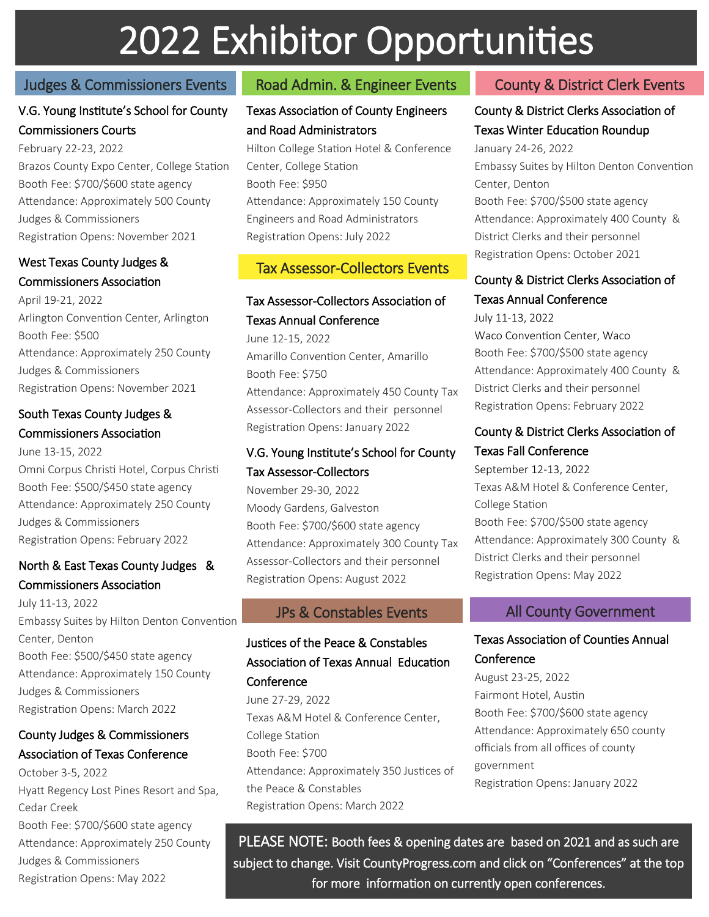# 2022 Exhibitor Opportunities

# Judges & Commissioners Events Road Admin. & Engineer Events

# V.G. Young Institute's School for County Commissioners Courts

February 22-23, 2022 Brazos County Expo Center, College Station Booth Fee: \$700/\$600 state agency Attendance: Approximately 500 County Judges & Commissioners Registration Opens: November 2021

#### West Texas County Judges & Commissioners Association

April 19-21, 2022 Arlington Convention Center, Arlington Booth Fee: \$500 Attendance: Approximately 250 County Judges & Commissioners Registration Opens: November 2021

### South Texas County Judges & Commissioners Association

June 13-15, 2022 Omni Corpus Christi Hotel, Corpus Christi Booth Fee: \$500/\$450 state agency Attendance: Approximately 250 County Judges & Commissioners Registration Opens: February 2022

#### North & East Texas County Judges & Commissioners Association

July 11-13, 2022 Embassy Suites by Hilton Denton Convention Center, Denton Booth Fee: \$500/\$450 state agency Attendance: Approximately 150 County Judges & Commissioners Registration Opens: March 2022

# County Judges & Commissioners Association of Texas Conference

October 3-5, 2022 Hyatt Regency Lost Pines Resort and Spa, Cedar Creek Booth Fee: \$700/\$600 state agency Attendance: Approximately 250 County Judges & Commissioners Registration Opens: May 2022

## Texas Association of County Engineers and Road Administrators

Hilton College Station Hotel & Conference Center, College Station Booth Fee: \$950 Attendance: Approximately 150 County Engineers and Road Administrators Registration Opens: July 2022

# Tax Assessor-Collectors Events

# Tax Assessor-Collectors Association of

Texas Annual Conference June 12-15, 2022 Amarillo Convention Center, Amarillo Booth Fee: \$750 Attendance: Approximately 450 County Tax Assessor-Collectors and their personnel Registration Opens: January 2022

#### V.G. Young Institute's School for County Tax Assessor-Collectors

November 29-30, 2022 Moody Gardens, Galveston Booth Fee: \$700/\$600 state agency Attendance: Approximately 300 County Tax Assessor-Collectors and their personnel Registration Opens: August 2022

# Justices of the Peace & Constables Association of Texas Annual Education **Conference**

June 27-29, 2022 Texas A&M Hotel & Conference Center, College Station Booth Fee: \$700 Attendance: Approximately 350 Justices of the Peace & Constables Registration Opens: March 2022

# County & District Clerk Events

# County & District Clerks Association of Texas Winter Education Roundup

January 24-26, 2022 Embassy Suites by Hilton Denton Convention Center, Denton Booth Fee: \$700/\$500 state agency Attendance: Approximately 400 County & District Clerks and their personnel Registration Opens: October 2021

# County & District Clerks Association of Texas Annual Conference

July 11-13, 2022

Waco Convention Center, Waco Booth Fee: \$700/\$500 state agency Attendance: Approximately 400 County & District Clerks and their personnel Registration Opens: February 2022

#### County & District Clerks Association of Texas Fall Conference

September 12-13, 2022 Texas A&M Hotel & Conference Center, College Station Booth Fee: \$700/\$500 state agency Attendance: Approximately 300 County & District Clerks and their personnel Registration Opens: May 2022

### JPs & Constables Events All County Government

# Texas Association of Counties Annual **Conference**

August 23-25, 2022 Fairmont Hotel, Austin Booth Fee: \$700/\$600 state agency Attendance: Approximately 650 county officials from all offices of county government Registration Opens: January 2022

PLEASE NOTE: Booth fees & opening dates are based on 2021 and as such are subject to change. Visit CountyProgress.com and click on "Conferences" at the top for more information on currently open conferences.